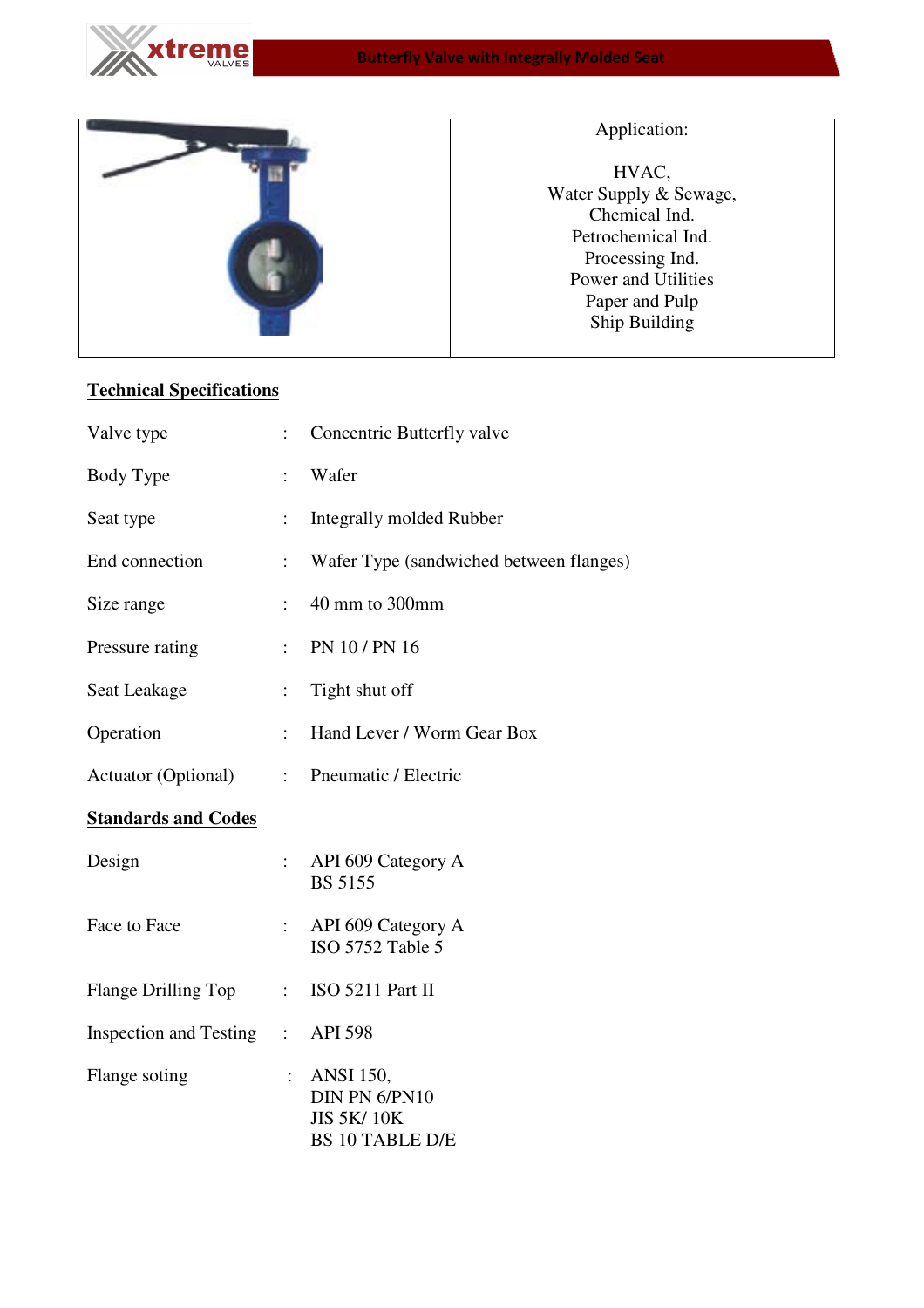



## Application:

HVAC, Water Supply & Sewage, Chemical Ind. Petrochemical Ind. Processing Ind. Power and Utilities Paper and Pulp Ship Building

## **Technical Specifications**

| Valve type                       | $\vdots$       | Concentric Butterfly valve                                                       |
|----------------------------------|----------------|----------------------------------------------------------------------------------|
| Body Type                        | $\ddot{\cdot}$ | Wafer                                                                            |
| Seat type                        | $\ddot{\cdot}$ | <b>Integrally molded Rubber</b>                                                  |
| End connection                   | $\ddot{\cdot}$ | Wafer Type (sandwiched between flanges)                                          |
| Size range                       | $\ddot{\cdot}$ | 40 mm to 300mm                                                                   |
| Pressure rating                  | $\ddot{\cdot}$ | PN 10 / PN 16                                                                    |
| Seat Leakage                     | $\vdots$       | Tight shut off                                                                   |
| Operation                        | $\vdots$       | Hand Lever / Worm Gear Box                                                       |
| Actuator (Optional) :            |                | Pneumatic / Electric                                                             |
| <b>Standards and Codes</b>       |                |                                                                                  |
| Design                           | $\vdots$       | API 609 Category A<br><b>BS 5155</b>                                             |
| Face to Face                     | $\ddot{\cdot}$ | API 609 Category A<br>ISO 5752 Table 5                                           |
| Flange Drilling Top              |                | $\therefore$ ISO 5211 Part II                                                    |
| Inspection and Testing : API 598 |                |                                                                                  |
| Flange soting                    | $\ddot{\cdot}$ | <b>ANSI</b> 150,<br>DIN PN 6/PN10<br><b>JIS 5K/10K</b><br><b>BS 10 TABLE D/E</b> |